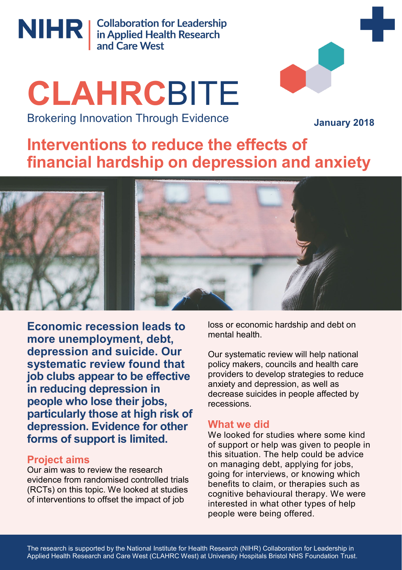

NIHR | Collaboration for Leadership<br>
in Applied Health Research<br>
and Care West

# **CLAHRC**BITE Brokering Innovation Through Evidence

**January 2018**

# **Interventions to reduce the effects of financial hardship on depression and anxiety**



**Economic recession leads to more unemployment, debt, depression and suicide. Our systematic review found that job clubs appear to be effective in reducing depression in people who lose their jobs, particularly those at high risk of depression. Evidence for other forms of support is limited.**

## **Project aims**

Our aim was to review the research evidence from randomised controlled trials (RCTs) on this topic. We looked at studies of interventions to offset the impact of job

loss or economic hardship and debt on mental health.

Our systematic review will help national policy makers, councils and health care providers to develop strategies to reduce anxiety and depression, as well as decrease suicides in people affected by recessions.

## **What we did**

We looked for studies where some kind of support or help was given to people in this situation. The help could be advice on managing debt, applying for jobs, going for interviews, or knowing which benefits to claim, or therapies such as cognitive behavioural therapy. We were interested in what other types of help people were being offered.